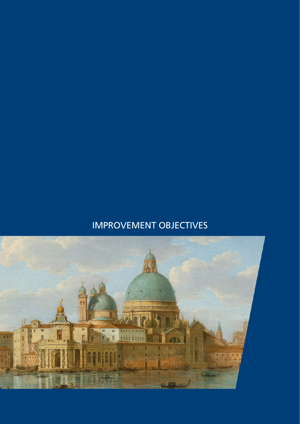## IMPROVEMENT OBJECTIVES

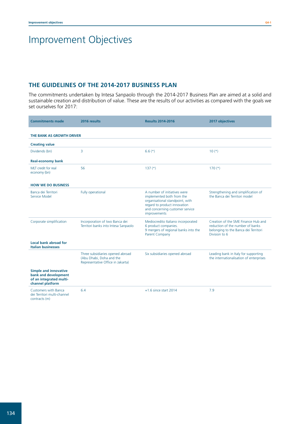## Improvement Objectives

## **THE GUIDELINES OF THE 2014-2017 BUSINESS PLAN**

The commitments undertaken by Intesa Sanpaolo through the 2014-2017 Business Plan are aimed at a solid and sustainable creation and distribution of value. These are the results of our activities as compared with the goals we set ourselves for 2017:

| <b>Commitments made</b>                                                                             | 2016 results                                                                                      | <b>Results 2014-2016</b>                                                                                                                                                        | 2017 objectives                                                                                                                  |
|-----------------------------------------------------------------------------------------------------|---------------------------------------------------------------------------------------------------|---------------------------------------------------------------------------------------------------------------------------------------------------------------------------------|----------------------------------------------------------------------------------------------------------------------------------|
| THE BANK AS GROWTH DRIVER                                                                           |                                                                                                   |                                                                                                                                                                                 |                                                                                                                                  |
| <b>Creating value</b>                                                                               |                                                                                                   |                                                                                                                                                                                 |                                                                                                                                  |
| Dividends (bn)                                                                                      | 3                                                                                                 | $6.6(*)$                                                                                                                                                                        | $10(*)$                                                                                                                          |
| <b>Real-economy bank</b>                                                                            |                                                                                                   |                                                                                                                                                                                 |                                                                                                                                  |
| MLT credit for real<br>economy (bn)                                                                 | 56                                                                                                | $137 (*)$                                                                                                                                                                       | $170(*)$                                                                                                                         |
| <b>HOW WE DO BUSINESS</b>                                                                           |                                                                                                   |                                                                                                                                                                                 |                                                                                                                                  |
| Banca dei Territori<br>Service Model                                                                | Fully operational                                                                                 | A number of initiatives were<br>implemented both from the<br>organisational standpoint, with<br>regard to product innovation<br>and concerning customer service<br>improvements | Strengthening and simplification of<br>the Banca dei Territori model                                                             |
| Corporate simplification                                                                            | Incorporation of two Banca dei<br>Territori banks into Intesa Sanpaolo                            | Mediocredito Italiano incorporated<br>6 product companies.<br>9 mergers of regional banks into the<br><b>Parent Company</b>                                                     | Creation of the SME Finance Hub and<br>reduction of the number of banks<br>belonging to the Banca dei Territori<br>Division to 6 |
| Local bank abroad for<br><b>Italian businesses</b>                                                  |                                                                                                   |                                                                                                                                                                                 |                                                                                                                                  |
|                                                                                                     | Three subsidiaries opened abroad<br>(Abu Dhabi, Doha and the<br>Representative Office in Jakarta) | Six subsidiaries opened abroad                                                                                                                                                  | Leading bank in Italy for supporting<br>the internationalisation of enterprises                                                  |
| <b>Simple and innovative</b><br>bank and development<br>of an integrated multi-<br>channel platform |                                                                                                   |                                                                                                                                                                                 |                                                                                                                                  |
| <b>Customers with Banca</b><br>dei Territori multi-channel<br>contracts (m)                         | 6.4                                                                                               | $+1.6$ since start 2014                                                                                                                                                         | 7.9                                                                                                                              |